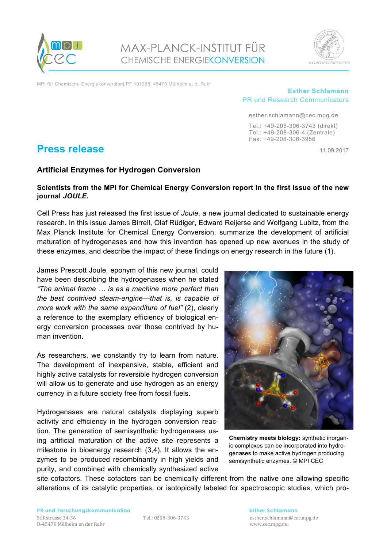

MAX-PLANCK-INSTITUT FÜR CHEMISCHE ENERGIEKONVERSION



MPI für Chemische Energiekonversion| PF 101365| 45470 Mülheim a. d. Ruhr

## **Esther Schlamann** PR und Research Communicators

esther.schlamann@cec.mpg.de Tel.: +49-208-306-3743 (direkt) Tel.: +49-208-306-4 (Zentrale) Fax: +49-208-306-3956

# **Press release** 11.09.2017

## **Artificial Enzymes for Hydrogen Conversion**

## **Scientists from the MPI for Chemical Energy Conversion report in the first issue of the new journal** *JOULE***.**

Cell Press has just released the first issue of *Joule*, a new journal dedicated to sustainable energy research. In this issue James Birrell, Olaf Rüdiger, Edward Reijerse and Wolfgang Lubitz, from the Max Planck Institute for Chemical Energy Conversion, summarize the development of artificial maturation of hydrogenases and how this invention has opened up new avenues in the study of these enzymes, and describe the impact of these findings on energy research in the future (1).

James Prescott Joule, eponym of this new journal, could have been describing the hydrogenases when he stated *"The animal frame … is as a machine more perfect than the best contrived steam-engine—that is, is capable of more work with the same expenditure of fuel"* (2), clearly a reference to the exemplary efficiency of biological energy conversion processes over those contrived by human invention.

As researchers, we constantly try to learn from nature. The development of inexpensive, stable, efficient and highly active catalysts for reversible hydrogen conversion will allow us to generate and use hydrogen as an energy currency in a future society free from fossil fuels.

Hydrogenases are natural catalysts displaying superb activity and efficiency in the hydrogen conversion reaction. The generation of semisynthetic hydrogenases using artificial maturation of the active site represents a milestone in bioenergy research (3,4). It allows the enzymes to be produced recombinantly in high yields and purity, and combined with chemically synthesized active



**Chemistry meets biology:** synthetic inorganic complexes can be incorporated into hydrogenases to make active hydrogen producing semisynthetic enzymes. © MPI CEC

site cofactors. These cofactors can be chemically different from the native one allowing specific alterations of its catalytic properties, or isotopically labeled for spectroscopic studies, which pro-

Tel.: 0208-306-3743 esther.schlamann@cec.mpg.de www.cec.mpg.de.